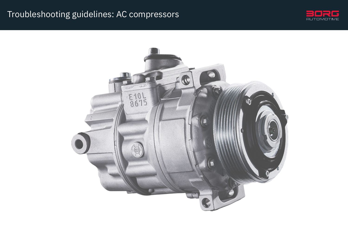### Troubleshooting guidelines: AC compressors



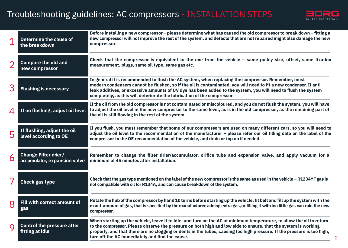## Troubleshooting guidelines: AC compressors - INSTALLATION STEPS



| $\mathbf 1$    | <b>Determine the cause of</b><br>the breakdown               | Before installing a new compressor – please determine what has caused the old compressor to break down – fitting a<br>new compressor will not improve the rest of the system, and defects that are not repaired might also damage the new<br>compressor.                                                                                                                                                              |
|----------------|--------------------------------------------------------------|-----------------------------------------------------------------------------------------------------------------------------------------------------------------------------------------------------------------------------------------------------------------------------------------------------------------------------------------------------------------------------------------------------------------------|
| $\overline{2}$ | <b>Compare the old and</b><br>new compressor                 | Check that the compressor is equivalent to the one from the vehicle - same pulley size, offset, same fixation<br>measurement, plugs, same oil type, same gas etc.                                                                                                                                                                                                                                                     |
| 3              | <b>Flushing is necessary</b>                                 | In general it is recommended to flush the AC system, when replacing the compressor. Remember, most<br>modern condensers cannot be flushed, so if the oil is contaminated, you will need to fit a new condenser. If anti<br>leak additives, or excessive amounts of UV dye has been added to the system, you will need to flush the system<br>completely, as this will deteriorate the lubrication of the compressor.  |
| 4              | If no flushing, adjust oil level                             | If the oil from the old compressor is not contaminated or miscoloured, and you do not flush the system, you will have<br>to adjust the oil level in the new compressor to the same level, as is in the old compressor, as the remaining part of<br>the oil is still flowing in the rest of the system.                                                                                                                |
| 5              | If flushing, adjust the oil<br>level according to OE         | If you flush, you must remember that some of our compressors are used on many different cars, so you will need to<br>adjust the oil level to the recommendation of the manufacturer - please refer our oil filling data on the label of the<br>compressor to the OE recommendation of the vehicle, and drain or top up if needed.                                                                                     |
| 6              | <b>Change Filter drier /</b><br>accumulator, expansion valve | Remember to change the filter drier/accumulator, orifice tube and expansion valve, and apply vacuum for a<br>minimum of 45 minutes after installation.                                                                                                                                                                                                                                                                |
| 7              | <b>Check gas type</b>                                        | Check that the gas type mentioned on the label of the new compressor is the same as used in the vehicle – R1234YF gas is<br>not compatible with oil for R134A, and can cause breakdown of the system.                                                                                                                                                                                                                 |
| 8              | Fill with correct amount of<br>gas                           | Rotate the hub of the compressor by hand 10 turns before starting up the vehicle, fit belt and fill up the system with the<br>exact amount of gas, that is specified by the manufacturer, adding extra gas, or filling it with too little gas can ruin the new<br>compressor.                                                                                                                                         |
| $\mathbf Q$    | <b>Control the pressure after</b><br>fitting at idle         | When starting up the vehicle, leave it to idle, and turn on the AC at minimum temperature, to allow the oil to return<br>to the compressor. Please observe the pressure on both high and low side to ensure, that the system is working<br>properly, and that there are no clogging or dents in the tubes, causing too high pressure. If the pressure is too high,<br>turn off the AC immediately and find the cause. |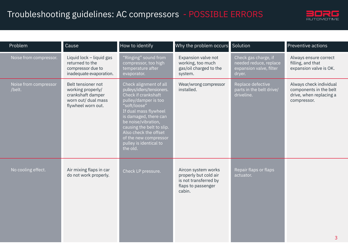## Troubleshooting guidelines: AC compressors - POSSIBLE ERRORS



| Problem                         | Cause                                                                                                     | How to identify                                                                                                                                                                                                                                                                                                   | Why the problem occurs Solution                                                                       |                                                                                     | <b>Preventive actions</b>                                                                   |
|---------------------------------|-----------------------------------------------------------------------------------------------------------|-------------------------------------------------------------------------------------------------------------------------------------------------------------------------------------------------------------------------------------------------------------------------------------------------------------------|-------------------------------------------------------------------------------------------------------|-------------------------------------------------------------------------------------|---------------------------------------------------------------------------------------------|
| Noise from compressor.          | Liquid lock - liquid gas<br>returned to the<br>compressor due to<br>inadequate evaporation.               | "Ringing" sound from<br>compressor, too high<br>temperature after<br>evaporator.                                                                                                                                                                                                                                  | Expansion valve not<br>working, too much<br>gas/oil charged to the<br>system.                         | Check gas charge, if<br>needed reduce, replace<br>expansion valve, filter<br>dryer. | Always ensure correct<br>filling, and that<br>expansion valve is OK.                        |
| Noise from compressor<br>/belt. | Belt tensioner not<br>working properly/<br>crankshaft damper<br>worn out/ dual mass<br>flywheel worn out. | Check alignment of all<br>pulleys/idlers/tensioners.<br>Check if crankshaft<br>pulley/damper is too<br>"soft/loose"<br>If dual mass flywheel<br>is damaged, there can<br>be noise/vibration,<br>causing the belt to slip.<br>Also check the offset<br>of the new compressor<br>pulley is identical to<br>the old. | Wear/wrong compressor<br>installed.                                                                   | Replace defective<br>parts in the belt drive/<br>driveline.                         | Always check individual<br>components in the belt<br>drive, when replacing a<br>compressor. |
| No cooling effect.              | Air mixing flaps in car<br>do not work properly.                                                          | Check LP pressure.                                                                                                                                                                                                                                                                                                | Aircon system works<br>properly but cold air<br>is not transferred by<br>flaps to passenger<br>cabin. | Repair flaps or flaps<br>actuator.                                                  | 3                                                                                           |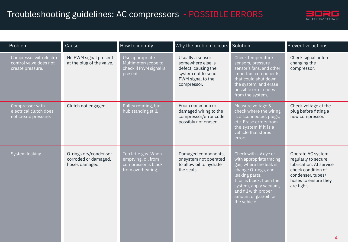# Troubleshooting guidelines: AC compressors - POSSIBLE ERRORS



| Problem                                                               | Cause                                                           | How to identify                                                                        | Why the problem occurs Solution                                                                                        |                                                                                                                                                                                                                                              | Preventive actions                                                                                                                                        |
|-----------------------------------------------------------------------|-----------------------------------------------------------------|----------------------------------------------------------------------------------------|------------------------------------------------------------------------------------------------------------------------|----------------------------------------------------------------------------------------------------------------------------------------------------------------------------------------------------------------------------------------------|-----------------------------------------------------------------------------------------------------------------------------------------------------------|
| Compressor with electro<br>control valve does not<br>create pressure. | No PWM signal present<br>at the plug of the valve.              | Use appropriate<br>Multimeter/scope to<br>check if PWM signal is<br>present.           | Usually a sensor<br>somewhere else is<br>defect, causing the<br>system not to send<br>PWM signal to the<br>compressor. | Check temperature<br>sensors, pressure<br>sensor's fans, and other<br>important components,<br>that could shut down<br>the system, and erase<br>possible error codes<br>from the system.                                                     | Check signal before<br>changing the<br>compressor.                                                                                                        |
| Compressor with<br>electrical clutch does<br>not create pressure.     | Clutch not engaged.                                             | Pulley rotating, but<br>hub standing still.                                            | Poor connection or<br>damaged wiring to the<br>compressor/error code<br>possibly not erased.                           | Measure voltage &<br>check where the wiring<br>is disconnected, plugs,<br>etc. Erase errors from<br>the system if it is a<br>vehicle that stores<br>errors.                                                                                  | Check voltage at the<br>plug before fitting a<br>new compressor.                                                                                          |
| System leaking.                                                       | O-rings dry/condenser<br>corroded or damaged,<br>hoses damaged. | Too little gas. When<br>emptying, oil from<br>compressor is black<br>from overheating. | Damaged components,<br>or system not operated<br>to allow oil to hydrate<br>the seals.                                 | Check with UV dye or<br>with appropriate tracing<br>gas, where the leak is,<br>change O-rings, and<br>leaking parts.<br>If oil is black, flush the<br>system, apply vacuum,<br>and fill with proper<br>amount of gas/oil for<br>the vehicle. | Operate AC system<br>regularly to secure<br>lubrication. At service<br>check condition of<br>condenser, tubes/<br>hoses to ensure they<br>are tight.<br>4 |